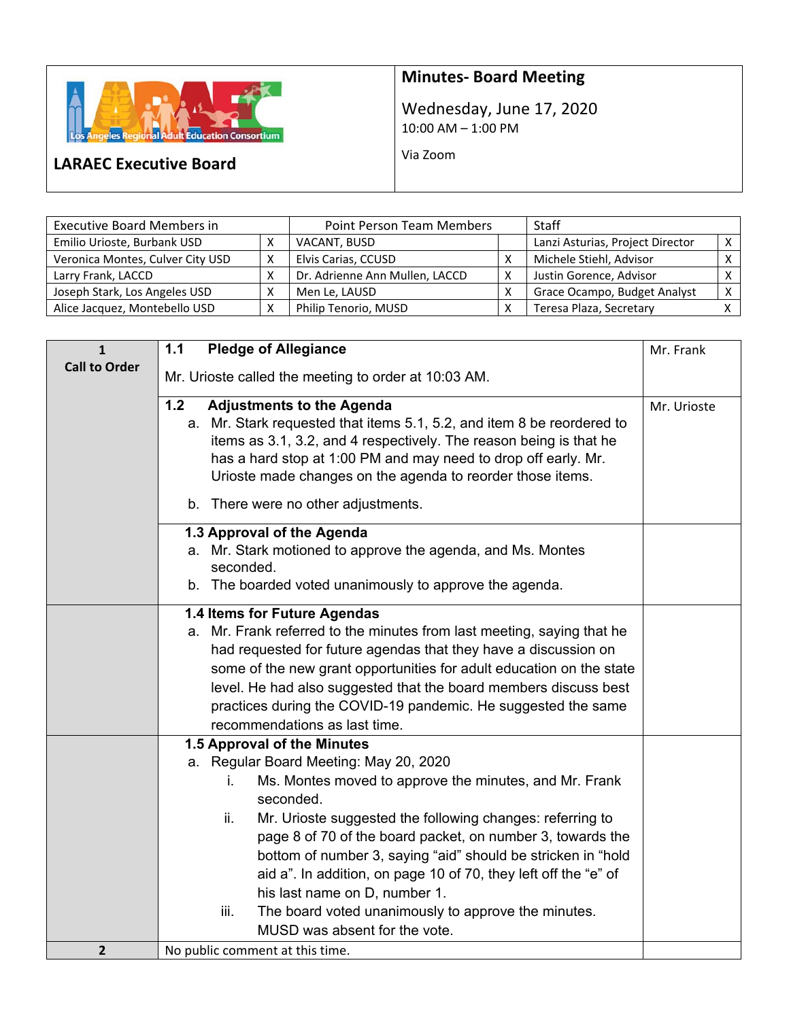

## **Minutes‐ Board Meeting**

Wednesday, June 17, 2020 10:00 AM – 1:00 PM

Via Zoom

## **LARAEC Executive Board**

| <b>Executive Board Members in</b> | <b>Point Person Team Members</b> | <b>Staff</b>                     |     |
|-----------------------------------|----------------------------------|----------------------------------|-----|
| Emilio Urioste, Burbank USD       | VACANT, BUSD                     | Lanzi Asturias, Project Director |     |
| Veronica Montes, Culver City USD  | Elvis Carias, CCUSD              | Michele Stiehl, Advisor          |     |
| Larry Frank, LACCD                | Dr. Adrienne Ann Mullen, LACCD   | Justin Gorence, Advisor          |     |
| Joseph Stark, Los Angeles USD     | Men Le, LAUSD                    | Grace Ocampo, Budget Analyst     | X I |
| Alice Jacquez, Montebello USD     | Philip Tenorio, MUSD             | Teresa Plaza, Secretary          |     |

| $\mathbf{1}$         | <b>Pledge of Allegiance</b><br>1.1                                     | Mr. Frank   |
|----------------------|------------------------------------------------------------------------|-------------|
| <b>Call to Order</b> |                                                                        |             |
|                      | Mr. Urioste called the meeting to order at 10:03 AM.                   |             |
|                      | 1.2<br><b>Adjustments to the Agenda</b>                                | Mr. Urioste |
|                      | a. Mr. Stark requested that items 5.1, 5.2, and item 8 be reordered to |             |
|                      | items as 3.1, 3.2, and 4 respectively. The reason being is that he     |             |
|                      | has a hard stop at 1:00 PM and may need to drop off early. Mr.         |             |
|                      | Urioste made changes on the agenda to reorder those items.             |             |
|                      | b. There were no other adjustments.                                    |             |
|                      | 1.3 Approval of the Agenda                                             |             |
|                      | a. Mr. Stark motioned to approve the agenda, and Ms. Montes            |             |
|                      | seconded.                                                              |             |
|                      | b. The boarded voted unanimously to approve the agenda.                |             |
|                      | 1.4 Items for Future Agendas                                           |             |
|                      | a. Mr. Frank referred to the minutes from last meeting, saying that he |             |
|                      | had requested for future agendas that they have a discussion on        |             |
|                      | some of the new grant opportunities for adult education on the state   |             |
|                      | level. He had also suggested that the board members discuss best       |             |
|                      | practices during the COVID-19 pandemic. He suggested the same          |             |
|                      | recommendations as last time.                                          |             |
|                      | 1.5 Approval of the Minutes                                            |             |
|                      | a. Regular Board Meeting: May 20, 2020                                 |             |
|                      | Ms. Montes moved to approve the minutes, and Mr. Frank<br>Ĺ.           |             |
|                      | seconded.                                                              |             |
|                      | ii.<br>Mr. Urioste suggested the following changes: referring to       |             |
|                      | page 8 of 70 of the board packet, on number 3, towards the             |             |
|                      | bottom of number 3, saying "aid" should be stricken in "hold           |             |
|                      | aid a". In addition, on page 10 of 70, they left off the "e" of        |             |
|                      | his last name on D, number 1.                                          |             |
|                      | The board voted unanimously to approve the minutes.<br>iii.            |             |
|                      | MUSD was absent for the vote.                                          |             |
| 2                    | No public comment at this time.                                        |             |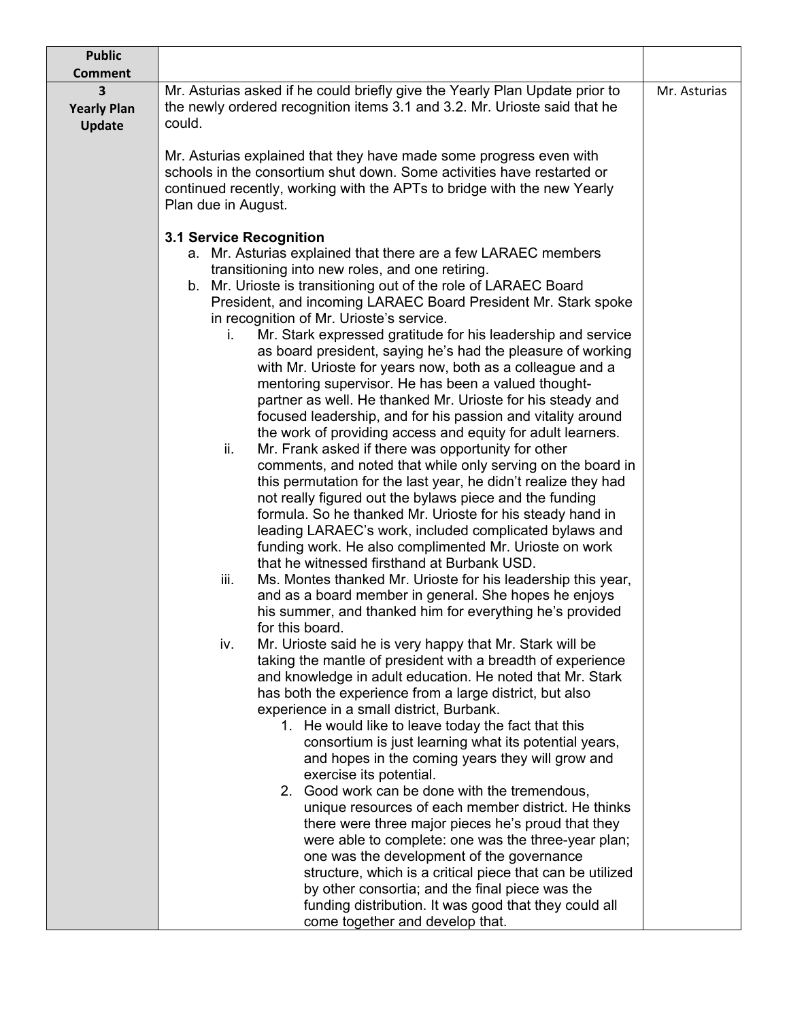| <b>Public</b>                            |                                                                                                                                                                                                                                                                                                                                                                                                                                                                                                                                                                                                                                                                                                                                                                                                                                                                                                                                                                                                                                                                                                                                                                                                                                                                                                                                                                                                                                                                                                                                                                                                                                                                                                                                                                                                                                                                                                                                                                                                                                                                                                                                                                                                                                                                                                                                                                                         |              |
|------------------------------------------|-----------------------------------------------------------------------------------------------------------------------------------------------------------------------------------------------------------------------------------------------------------------------------------------------------------------------------------------------------------------------------------------------------------------------------------------------------------------------------------------------------------------------------------------------------------------------------------------------------------------------------------------------------------------------------------------------------------------------------------------------------------------------------------------------------------------------------------------------------------------------------------------------------------------------------------------------------------------------------------------------------------------------------------------------------------------------------------------------------------------------------------------------------------------------------------------------------------------------------------------------------------------------------------------------------------------------------------------------------------------------------------------------------------------------------------------------------------------------------------------------------------------------------------------------------------------------------------------------------------------------------------------------------------------------------------------------------------------------------------------------------------------------------------------------------------------------------------------------------------------------------------------------------------------------------------------------------------------------------------------------------------------------------------------------------------------------------------------------------------------------------------------------------------------------------------------------------------------------------------------------------------------------------------------------------------------------------------------------------------------------------------------|--------------|
| <b>Comment</b>                           |                                                                                                                                                                                                                                                                                                                                                                                                                                                                                                                                                                                                                                                                                                                                                                                                                                                                                                                                                                                                                                                                                                                                                                                                                                                                                                                                                                                                                                                                                                                                                                                                                                                                                                                                                                                                                                                                                                                                                                                                                                                                                                                                                                                                                                                                                                                                                                                         |              |
| 3<br><b>Yearly Plan</b><br><b>Update</b> | Mr. Asturias asked if he could briefly give the Yearly Plan Update prior to<br>the newly ordered recognition items 3.1 and 3.2. Mr. Urioste said that he<br>could.                                                                                                                                                                                                                                                                                                                                                                                                                                                                                                                                                                                                                                                                                                                                                                                                                                                                                                                                                                                                                                                                                                                                                                                                                                                                                                                                                                                                                                                                                                                                                                                                                                                                                                                                                                                                                                                                                                                                                                                                                                                                                                                                                                                                                      | Mr. Asturias |
|                                          | Mr. Asturias explained that they have made some progress even with<br>schools in the consortium shut down. Some activities have restarted or<br>continued recently, working with the APTs to bridge with the new Yearly<br>Plan due in August.                                                                                                                                                                                                                                                                                                                                                                                                                                                                                                                                                                                                                                                                                                                                                                                                                                                                                                                                                                                                                                                                                                                                                                                                                                                                                                                                                                                                                                                                                                                                                                                                                                                                                                                                                                                                                                                                                                                                                                                                                                                                                                                                          |              |
|                                          |                                                                                                                                                                                                                                                                                                                                                                                                                                                                                                                                                                                                                                                                                                                                                                                                                                                                                                                                                                                                                                                                                                                                                                                                                                                                                                                                                                                                                                                                                                                                                                                                                                                                                                                                                                                                                                                                                                                                                                                                                                                                                                                                                                                                                                                                                                                                                                                         |              |
|                                          | <b>3.1 Service Recognition</b><br>a. Mr. Asturias explained that there are a few LARAEC members<br>transitioning into new roles, and one retiring.<br>b. Mr. Urioste is transitioning out of the role of LARAEC Board<br>President, and incoming LARAEC Board President Mr. Stark spoke<br>in recognition of Mr. Urioste's service.<br>Mr. Stark expressed gratitude for his leadership and service<br>İ.<br>as board president, saying he's had the pleasure of working<br>with Mr. Urioste for years now, both as a colleague and a<br>mentoring supervisor. He has been a valued thought-<br>partner as well. He thanked Mr. Urioste for his steady and<br>focused leadership, and for his passion and vitality around<br>the work of providing access and equity for adult learners.<br>ii.<br>Mr. Frank asked if there was opportunity for other<br>comments, and noted that while only serving on the board in<br>this permutation for the last year, he didn't realize they had<br>not really figured out the bylaws piece and the funding<br>formula. So he thanked Mr. Urioste for his steady hand in<br>leading LARAEC's work, included complicated bylaws and<br>funding work. He also complimented Mr. Urioste on work<br>that he witnessed firsthand at Burbank USD.<br>Ms. Montes thanked Mr. Urioste for his leadership this year,<br>iii.<br>and as a board member in general. She hopes he enjoys<br>his summer, and thanked him for everything he's provided<br>for this board.<br>Mr. Urioste said he is very happy that Mr. Stark will be<br>iv.<br>taking the mantle of president with a breadth of experience<br>and knowledge in adult education. He noted that Mr. Stark<br>has both the experience from a large district, but also<br>experience in a small district, Burbank.<br>1. He would like to leave today the fact that this<br>consortium is just learning what its potential years,<br>and hopes in the coming years they will grow and<br>exercise its potential.<br>2. Good work can be done with the tremendous,<br>unique resources of each member district. He thinks<br>there were three major pieces he's proud that they<br>were able to complete: one was the three-year plan;<br>one was the development of the governance<br>structure, which is a critical piece that can be utilized<br>by other consortia; and the final piece was the |              |
|                                          | funding distribution. It was good that they could all<br>come together and develop that.                                                                                                                                                                                                                                                                                                                                                                                                                                                                                                                                                                                                                                                                                                                                                                                                                                                                                                                                                                                                                                                                                                                                                                                                                                                                                                                                                                                                                                                                                                                                                                                                                                                                                                                                                                                                                                                                                                                                                                                                                                                                                                                                                                                                                                                                                                |              |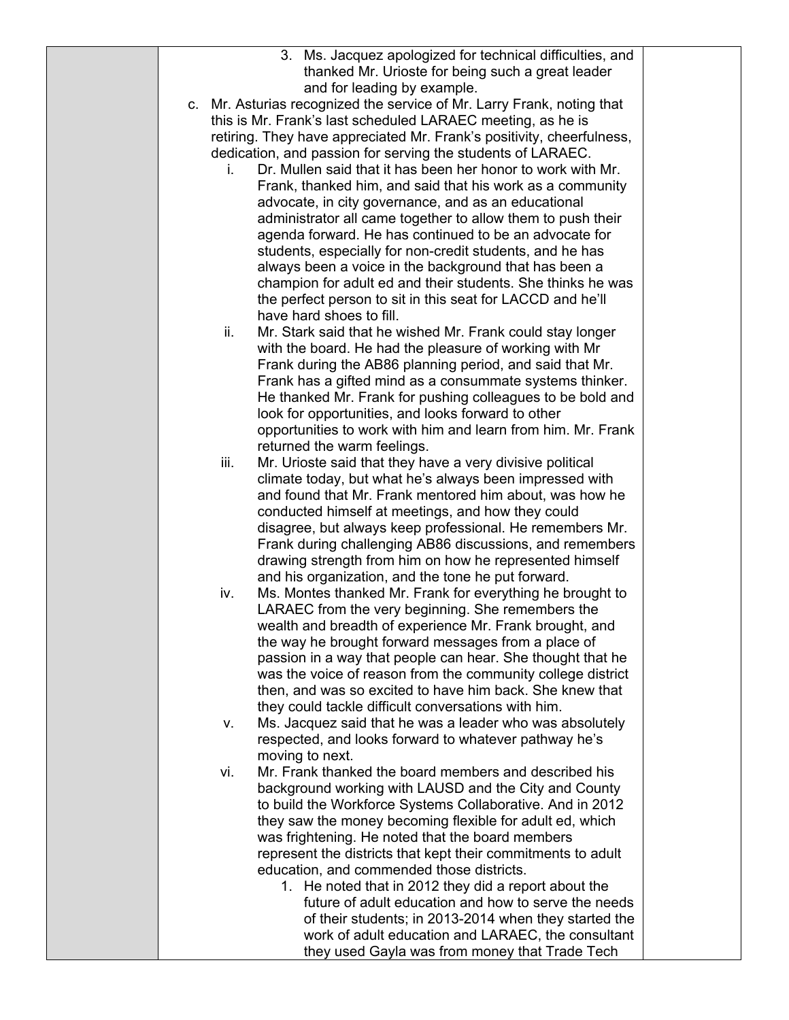|  | 3. Ms. Jacquez apologized for technical difficulties, and                                                             |  |
|--|-----------------------------------------------------------------------------------------------------------------------|--|
|  | thanked Mr. Urioste for being such a great leader                                                                     |  |
|  | and for leading by example.                                                                                           |  |
|  | c. Mr. Asturias recognized the service of Mr. Larry Frank, noting that                                                |  |
|  | this is Mr. Frank's last scheduled LARAEC meeting, as he is                                                           |  |
|  | retiring. They have appreciated Mr. Frank's positivity, cheerfulness,                                                 |  |
|  | dedication, and passion for serving the students of LARAEC.                                                           |  |
|  | Dr. Mullen said that it has been her honor to work with Mr.<br>İ.                                                     |  |
|  | Frank, thanked him, and said that his work as a community                                                             |  |
|  | advocate, in city governance, and as an educational                                                                   |  |
|  | administrator all came together to allow them to push their                                                           |  |
|  | agenda forward. He has continued to be an advocate for                                                                |  |
|  | students, especially for non-credit students, and he has                                                              |  |
|  | always been a voice in the background that has been a                                                                 |  |
|  | champion for adult ed and their students. She thinks he was                                                           |  |
|  | the perfect person to sit in this seat for LACCD and he'll<br>have hard shoes to fill.                                |  |
|  | ii.                                                                                                                   |  |
|  | Mr. Stark said that he wished Mr. Frank could stay longer<br>with the board. He had the pleasure of working with Mr   |  |
|  | Frank during the AB86 planning period, and said that Mr.                                                              |  |
|  | Frank has a gifted mind as a consummate systems thinker.                                                              |  |
|  | He thanked Mr. Frank for pushing colleagues to be bold and                                                            |  |
|  | look for opportunities, and looks forward to other                                                                    |  |
|  | opportunities to work with him and learn from him. Mr. Frank                                                          |  |
|  | returned the warm feelings.                                                                                           |  |
|  | Mr. Urioste said that they have a very divisive political<br>iii.                                                     |  |
|  | climate today, but what he's always been impressed with                                                               |  |
|  | and found that Mr. Frank mentored him about, was how he                                                               |  |
|  | conducted himself at meetings, and how they could                                                                     |  |
|  | disagree, but always keep professional. He remembers Mr.                                                              |  |
|  | Frank during challenging AB86 discussions, and remembers                                                              |  |
|  | drawing strength from him on how he represented himself                                                               |  |
|  | and his organization, and the tone he put forward.                                                                    |  |
|  | Ms. Montes thanked Mr. Frank for everything he brought to<br>iv.                                                      |  |
|  | LARAEC from the very beginning. She remembers the                                                                     |  |
|  | wealth and breadth of experience Mr. Frank brought, and                                                               |  |
|  | the way he brought forward messages from a place of                                                                   |  |
|  | passion in a way that people can hear. She thought that he                                                            |  |
|  | was the voice of reason from the community college district                                                           |  |
|  | then, and was so excited to have him back. She knew that                                                              |  |
|  | they could tackle difficult conversations with him.                                                                   |  |
|  | Ms. Jacquez said that he was a leader who was absolutely<br>v.                                                        |  |
|  | respected, and looks forward to whatever pathway he's                                                                 |  |
|  | moving to next.<br>Mr. Frank thanked the board members and described his                                              |  |
|  | vi.                                                                                                                   |  |
|  | background working with LAUSD and the City and County                                                                 |  |
|  | to build the Workforce Systems Collaborative. And in 2012<br>they saw the money becoming flexible for adult ed, which |  |
|  | was frightening. He noted that the board members                                                                      |  |
|  | represent the districts that kept their commitments to adult                                                          |  |
|  | education, and commended those districts.                                                                             |  |
|  | 1. He noted that in 2012 they did a report about the                                                                  |  |
|  | future of adult education and how to serve the needs                                                                  |  |
|  | of their students; in 2013-2014 when they started the                                                                 |  |
|  | work of adult education and LARAEC, the consultant                                                                    |  |
|  | they used Gayla was from money that Trade Tech                                                                        |  |
|  |                                                                                                                       |  |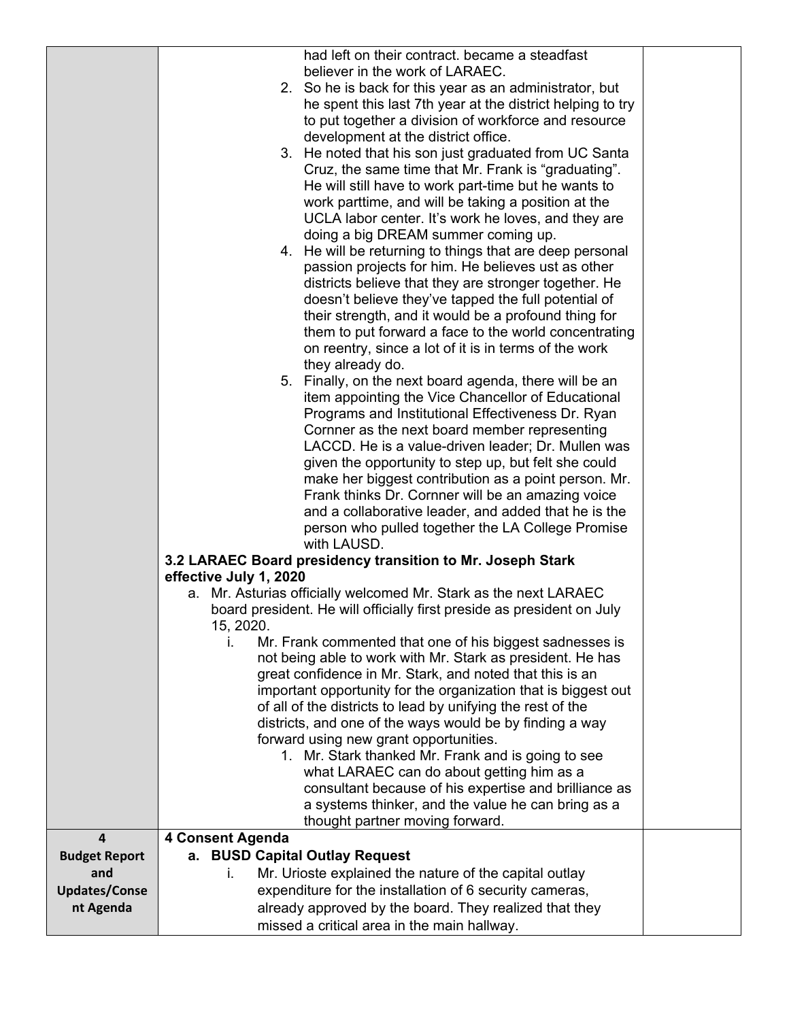|                         | had left on their contract. became a steadfast<br>believer in the work of LARAEC.                           |  |
|-------------------------|-------------------------------------------------------------------------------------------------------------|--|
|                         | 2. So he is back for this year as an administrator, but                                                     |  |
|                         | he spent this last 7th year at the district helping to try                                                  |  |
|                         | to put together a division of workforce and resource                                                        |  |
|                         | development at the district office.                                                                         |  |
|                         | 3. He noted that his son just graduated from UC Santa                                                       |  |
|                         | Cruz, the same time that Mr. Frank is "graduating".                                                         |  |
|                         | He will still have to work part-time but he wants to                                                        |  |
|                         | work parttime, and will be taking a position at the                                                         |  |
|                         | UCLA labor center. It's work he loves, and they are                                                         |  |
|                         | doing a big DREAM summer coming up.                                                                         |  |
|                         | 4. He will be returning to things that are deep personal                                                    |  |
|                         | passion projects for him. He believes ust as other                                                          |  |
|                         | districts believe that they are stronger together. He                                                       |  |
|                         | doesn't believe they've tapped the full potential of                                                        |  |
|                         | their strength, and it would be a profound thing for                                                        |  |
|                         | them to put forward a face to the world concentrating                                                       |  |
|                         | on reentry, since a lot of it is in terms of the work                                                       |  |
|                         | they already do.                                                                                            |  |
|                         | 5. Finally, on the next board agenda, there will be an                                                      |  |
|                         | item appointing the Vice Chancellor of Educational                                                          |  |
|                         | Programs and Institutional Effectiveness Dr. Ryan                                                           |  |
|                         | Cornner as the next board member representing                                                               |  |
|                         | LACCD. He is a value-driven leader; Dr. Mullen was                                                          |  |
|                         | given the opportunity to step up, but felt she could                                                        |  |
|                         | make her biggest contribution as a point person. Mr.                                                        |  |
|                         | Frank thinks Dr. Cornner will be an amazing voice                                                           |  |
|                         | and a collaborative leader, and added that he is the                                                        |  |
|                         | person who pulled together the LA College Promise<br>with LAUSD.                                            |  |
|                         | 3.2 LARAEC Board presidency transition to Mr. Joseph Stark                                                  |  |
|                         | effective July 1, 2020                                                                                      |  |
|                         | a. Mr. Asturias officially welcomed Mr. Stark as the next LARAEC                                            |  |
|                         | board president. He will officially first preside as president on July                                      |  |
|                         | 15, 2020.                                                                                                   |  |
|                         | Mr. Frank commented that one of his biggest sadnesses is<br>L.                                              |  |
|                         | not being able to work with Mr. Stark as president. He has                                                  |  |
|                         | great confidence in Mr. Stark, and noted that this is an                                                    |  |
|                         | important opportunity for the organization that is biggest out                                              |  |
|                         | of all of the districts to lead by unifying the rest of the                                                 |  |
|                         | districts, and one of the ways would be by finding a way                                                    |  |
|                         | forward using new grant opportunities.                                                                      |  |
|                         | 1. Mr. Stark thanked Mr. Frank and is going to see                                                          |  |
|                         | what LARAEC can do about getting him as a                                                                   |  |
|                         | consultant because of his expertise and brilliance as<br>a systems thinker, and the value he can bring as a |  |
|                         | thought partner moving forward.                                                                             |  |
| $\overline{\mathbf{4}}$ | 4 Consent Agenda                                                                                            |  |
| <b>Budget Report</b>    | a. BUSD Capital Outlay Request                                                                              |  |
| and                     | Mr. Urioste explained the nature of the capital outlay<br>ı.                                                |  |
| <b>Updates/Conse</b>    | expenditure for the installation of 6 security cameras,                                                     |  |
| nt Agenda               | already approved by the board. They realized that they                                                      |  |
|                         | missed a critical area in the main hallway.                                                                 |  |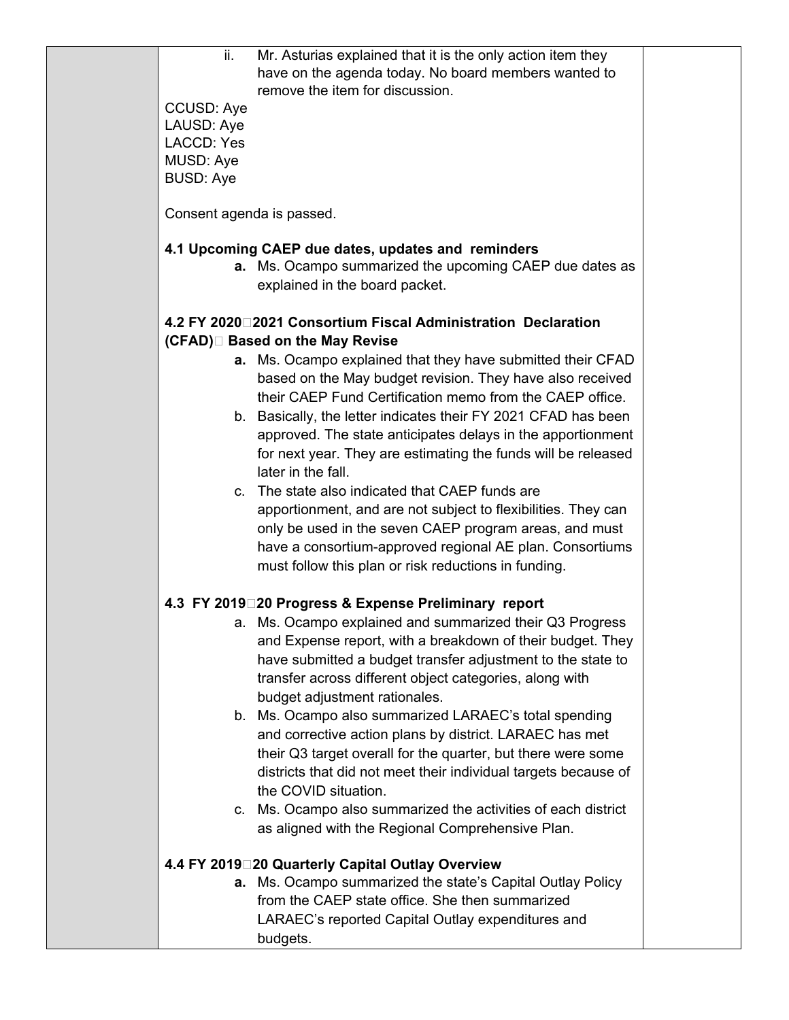| ii.                       | Mr. Asturias explained that it is the only action item they                                      |  |
|---------------------------|--------------------------------------------------------------------------------------------------|--|
|                           | have on the agenda today. No board members wanted to                                             |  |
|                           | remove the item for discussion.                                                                  |  |
| <b>CCUSD: Aye</b>         |                                                                                                  |  |
| LAUSD: Aye                |                                                                                                  |  |
| <b>LACCD: Yes</b>         |                                                                                                  |  |
| MUSD: Aye                 |                                                                                                  |  |
| <b>BUSD: Aye</b>          |                                                                                                  |  |
|                           |                                                                                                  |  |
| Consent agenda is passed. |                                                                                                  |  |
|                           | 4.1 Upcoming CAEP due dates, updates and reminders                                               |  |
|                           | a. Ms. Ocampo summarized the upcoming CAEP due dates as                                          |  |
|                           | explained in the board packet.                                                                   |  |
|                           |                                                                                                  |  |
|                           | 4.2 FY 2020 2021 Consortium Fiscal Administration Declaration<br>(CFAD)□ Based on the May Revise |  |
|                           |                                                                                                  |  |
|                           | a. Ms. Ocampo explained that they have submitted their CFAD                                      |  |
|                           | based on the May budget revision. They have also received                                        |  |
|                           | their CAEP Fund Certification memo from the CAEP office.                                         |  |
|                           | b. Basically, the letter indicates their FY 2021 CFAD has been                                   |  |
|                           | approved. The state anticipates delays in the apportionment                                      |  |
|                           | for next year. They are estimating the funds will be released                                    |  |
|                           | later in the fall.                                                                               |  |
|                           | c. The state also indicated that CAEP funds are                                                  |  |
|                           | apportionment, and are not subject to flexibilities. They can                                    |  |
|                           | only be used in the seven CAEP program areas, and must                                           |  |
|                           | have a consortium-approved regional AE plan. Consortiums                                         |  |
|                           | must follow this plan or risk reductions in funding.                                             |  |
|                           |                                                                                                  |  |
|                           | 4.3 FY 2019 20 Progress & Expense Preliminary report                                             |  |
|                           | a. Ms. Ocampo explained and summarized their Q3 Progress                                         |  |
|                           | and Expense report, with a breakdown of their budget. They                                       |  |
|                           | have submitted a budget transfer adjustment to the state to                                      |  |
|                           | transfer across different object categories, along with                                          |  |
|                           | budget adjustment rationales.                                                                    |  |
|                           | b. Ms. Ocampo also summarized LARAEC's total spending                                            |  |
|                           | and corrective action plans by district. LARAEC has met                                          |  |
|                           | their Q3 target overall for the quarter, but there were some                                     |  |
|                           | districts that did not meet their individual targets because of                                  |  |
|                           | the COVID situation.                                                                             |  |
|                           | c. Ms. Ocampo also summarized the activities of each district                                    |  |
|                           | as aligned with the Regional Comprehensive Plan.                                                 |  |
|                           |                                                                                                  |  |
|                           | 4.4 FY 2019 20 Quarterly Capital Outlay Overview                                                 |  |
|                           | <b>a.</b> Ms. Ocampo summarized the state's Capital Outlay Policy                                |  |
|                           | from the CAEP state office. She then summarized                                                  |  |
|                           | LARAEC's reported Capital Outlay expenditures and                                                |  |
|                           | budgets.                                                                                         |  |
|                           |                                                                                                  |  |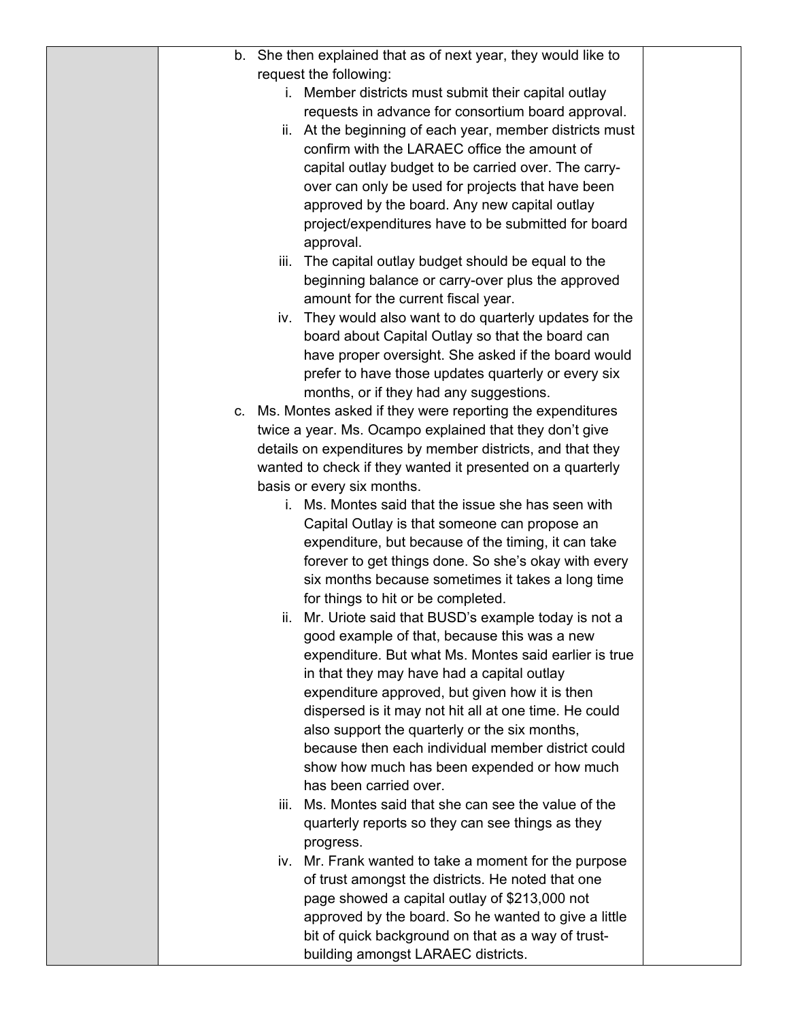| b. She then explained that as of next year, they would like to                               |  |
|----------------------------------------------------------------------------------------------|--|
| request the following:                                                                       |  |
| i. Member districts must submit their capital outlay                                         |  |
| requests in advance for consortium board approval.                                           |  |
| ii. At the beginning of each year, member districts must                                     |  |
| confirm with the LARAEC office the amount of                                                 |  |
| capital outlay budget to be carried over. The carry-                                         |  |
| over can only be used for projects that have been                                            |  |
| approved by the board. Any new capital outlay                                                |  |
| project/expenditures have to be submitted for board                                          |  |
| approval.                                                                                    |  |
| iii. The capital outlay budget should be equal to the                                        |  |
| beginning balance or carry-over plus the approved                                            |  |
| amount for the current fiscal year.                                                          |  |
| iv. They would also want to do quarterly updates for the                                     |  |
| board about Capital Outlay so that the board can                                             |  |
| have proper oversight. She asked if the board would                                          |  |
| prefer to have those updates quarterly or every six                                          |  |
| months, or if they had any suggestions.                                                      |  |
| c. Ms. Montes asked if they were reporting the expenditures                                  |  |
| twice a year. Ms. Ocampo explained that they don't give                                      |  |
| details on expenditures by member districts, and that they                                   |  |
| wanted to check if they wanted it presented on a quarterly                                   |  |
| basis or every six months.                                                                   |  |
| i. Ms. Montes said that the issue she has seen with                                          |  |
| Capital Outlay is that someone can propose an                                                |  |
| expenditure, but because of the timing, it can take                                          |  |
| forever to get things done. So she's okay with every                                         |  |
| six months because sometimes it takes a long time                                            |  |
| for things to hit or be completed.                                                           |  |
| ii. Mr. Uriote said that BUSD's example today is not a                                       |  |
| good example of that, because this was a new                                                 |  |
| expenditure. But what Ms. Montes said earlier is true                                        |  |
| in that they may have had a capital outlay<br>expenditure approved, but given how it is then |  |
| dispersed is it may not hit all at one time. He could                                        |  |
| also support the quarterly or the six months,                                                |  |
| because then each individual member district could                                           |  |
| show how much has been expended or how much                                                  |  |
| has been carried over.                                                                       |  |
| iii. Ms. Montes said that she can see the value of the                                       |  |
| quarterly reports so they can see things as they                                             |  |
| progress.                                                                                    |  |
| iv. Mr. Frank wanted to take a moment for the purpose                                        |  |
| of trust amongst the districts. He noted that one                                            |  |
| page showed a capital outlay of \$213,000 not                                                |  |
| approved by the board. So he wanted to give a little                                         |  |
| bit of quick background on that as a way of trust-                                           |  |
| building amongst LARAEC districts.                                                           |  |
|                                                                                              |  |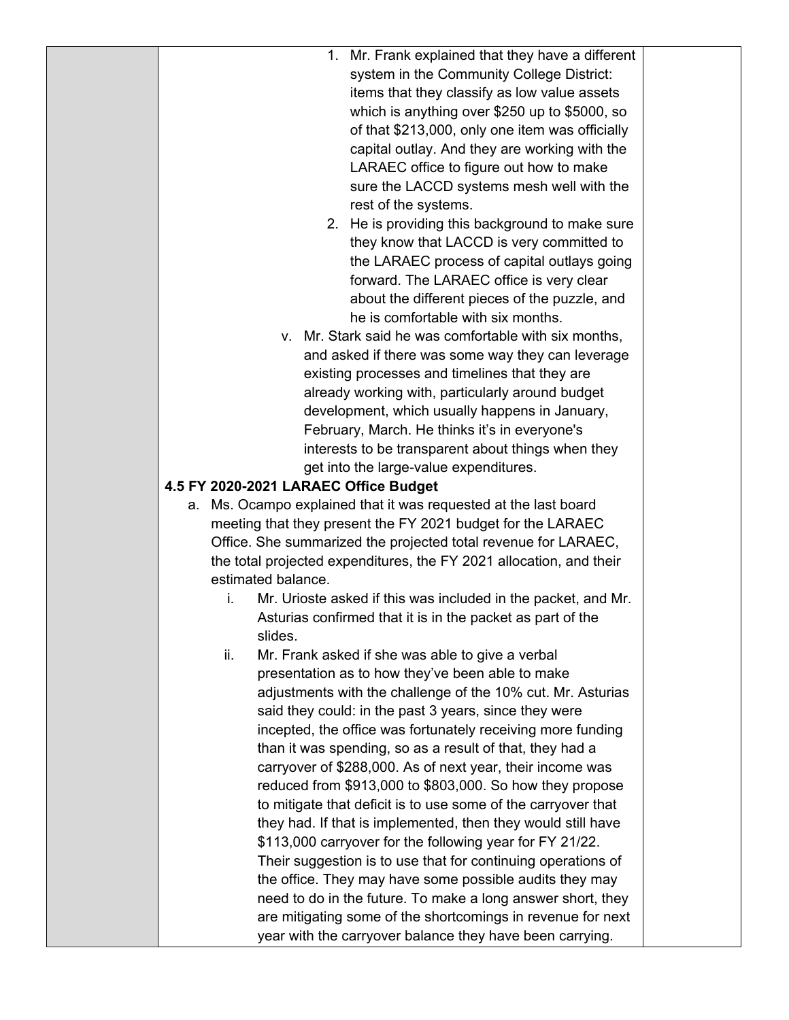| items that they classify as low value assets<br>which is anything over \$250 up to \$5000, so<br>of that \$213,000, only one item was officially<br>capital outlay. And they are working with the<br>LARAEC office to figure out how to make<br>sure the LACCD systems mesh well with the<br>rest of the systems.<br>2. He is providing this background to make sure<br>they know that LACCD is very committed to<br>the LARAEC process of capital outlays going<br>forward. The LARAEC office is very clear<br>about the different pieces of the puzzle, and<br>he is comfortable with six months.<br>v. Mr. Stark said he was comfortable with six months,<br>and asked if there was some way they can leverage<br>existing processes and timelines that they are<br>already working with, particularly around budget<br>development, which usually happens in January,<br>February, March. He thinks it's in everyone's<br>interests to be transparent about things when they<br>get into the large-value expenditures.<br>4.5 FY 2020-2021 LARAEC Office Budget<br>a. Ms. Ocampo explained that it was requested at the last board<br>meeting that they present the FY 2021 budget for the LARAEC<br>Office. She summarized the projected total revenue for LARAEC,<br>the total projected expenditures, the FY 2021 allocation, and their<br>estimated balance.<br>Mr. Urioste asked if this was included in the packet, and Mr.<br>i.<br>Asturias confirmed that it is in the packet as part of the<br>slides.<br>ii.<br>Mr. Frank asked if she was able to give a verbal<br>presentation as to how they've been able to make<br>adjustments with the challenge of the 10% cut. Mr. Asturias<br>said they could: in the past 3 years, since they were<br>incepted, the office was fortunately receiving more funding<br>than it was spending, so as a result of that, they had a<br>carryover of \$288,000. As of next year, their income was<br>reduced from \$913,000 to \$803,000. So how they propose<br>to mitigate that deficit is to use some of the carryover that<br>they had. If that is implemented, then they would still have<br>\$113,000 carryover for the following year for FY 21/22.<br>Their suggestion is to use that for continuing operations of<br>the office. They may have some possible audits they may<br>need to do in the future. To make a long answer short, they<br>are mitigating some of the shortcomings in revenue for next<br>year with the carryover balance they have been carrying. | 1. Mr. Frank explained that they have a different<br>system in the Community College District: |
|-----------------------------------------------------------------------------------------------------------------------------------------------------------------------------------------------------------------------------------------------------------------------------------------------------------------------------------------------------------------------------------------------------------------------------------------------------------------------------------------------------------------------------------------------------------------------------------------------------------------------------------------------------------------------------------------------------------------------------------------------------------------------------------------------------------------------------------------------------------------------------------------------------------------------------------------------------------------------------------------------------------------------------------------------------------------------------------------------------------------------------------------------------------------------------------------------------------------------------------------------------------------------------------------------------------------------------------------------------------------------------------------------------------------------------------------------------------------------------------------------------------------------------------------------------------------------------------------------------------------------------------------------------------------------------------------------------------------------------------------------------------------------------------------------------------------------------------------------------------------------------------------------------------------------------------------------------------------------------------------------------------------------------------------------------------------------------------------------------------------------------------------------------------------------------------------------------------------------------------------------------------------------------------------------------------------------------------------------------------------------------------------------------------------------------------------------------------------------------------------------------------------------------------|------------------------------------------------------------------------------------------------|
|-----------------------------------------------------------------------------------------------------------------------------------------------------------------------------------------------------------------------------------------------------------------------------------------------------------------------------------------------------------------------------------------------------------------------------------------------------------------------------------------------------------------------------------------------------------------------------------------------------------------------------------------------------------------------------------------------------------------------------------------------------------------------------------------------------------------------------------------------------------------------------------------------------------------------------------------------------------------------------------------------------------------------------------------------------------------------------------------------------------------------------------------------------------------------------------------------------------------------------------------------------------------------------------------------------------------------------------------------------------------------------------------------------------------------------------------------------------------------------------------------------------------------------------------------------------------------------------------------------------------------------------------------------------------------------------------------------------------------------------------------------------------------------------------------------------------------------------------------------------------------------------------------------------------------------------------------------------------------------------------------------------------------------------------------------------------------------------------------------------------------------------------------------------------------------------------------------------------------------------------------------------------------------------------------------------------------------------------------------------------------------------------------------------------------------------------------------------------------------------------------------------------------------------|------------------------------------------------------------------------------------------------|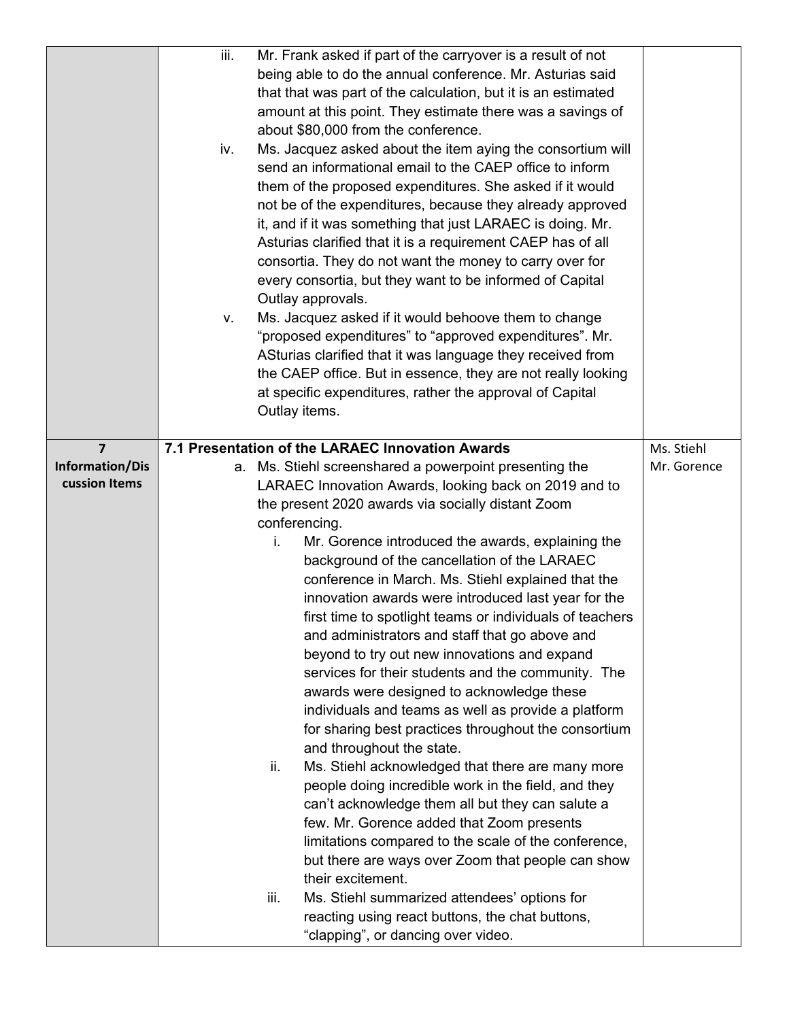|                 | iii. | Mr. Frank asked if part of the carryover is a result of not   |             |
|-----------------|------|---------------------------------------------------------------|-------------|
|                 |      | being able to do the annual conference. Mr. Asturias said     |             |
|                 |      | that that was part of the calculation, but it is an estimated |             |
|                 |      | amount at this point. They estimate there was a savings of    |             |
|                 |      | about \$80,000 from the conference.                           |             |
|                 | iv.  | Ms. Jacquez asked about the item aying the consortium will    |             |
|                 |      | send an informational email to the CAEP office to inform      |             |
|                 |      | them of the proposed expenditures. She asked if it would      |             |
|                 |      | not be of the expenditures, because they already approved     |             |
|                 |      | it, and if it was something that just LARAEC is doing. Mr.    |             |
|                 |      | Asturias clarified that it is a requirement CAEP has of all   |             |
|                 |      | consortia. They do not want the money to carry over for       |             |
|                 |      | every consortia, but they want to be informed of Capital      |             |
|                 |      | Outlay approvals.                                             |             |
|                 | V.   | Ms. Jacquez asked if it would behoove them to change          |             |
|                 |      | "proposed expenditures" to "approved expenditures". Mr.       |             |
|                 |      | ASturias clarified that it was language they received from    |             |
|                 |      | the CAEP office. But in essence, they are not really looking  |             |
|                 |      | at specific expenditures, rather the approval of Capital      |             |
|                 |      | Outlay items.                                                 |             |
|                 |      |                                                               |             |
| $\overline{7}$  |      | 7.1 Presentation of the LARAEC Innovation Awards              | Ms. Stiehl  |
| Information/Dis |      | a. Ms. Stiehl screenshared a powerpoint presenting the        | Mr. Gorence |
| cussion Items   |      | LARAEC Innovation Awards, looking back on 2019 and to         |             |
|                 |      | the present 2020 awards via socially distant Zoom             |             |
|                 |      | conferencing.                                                 |             |
|                 |      | Mr. Gorence introduced the awards, explaining the<br>i.       |             |
|                 |      | background of the cancellation of the LARAEC                  |             |
|                 |      | conference in March. Ms. Stiehl explained that the            |             |
|                 |      | innovation awards were introduced last year for the           |             |
|                 |      | first time to spotlight teams or individuals of teachers      |             |
|                 |      | and administrators and staff that go above and                |             |
|                 |      | beyond to try out new innovations and expand                  |             |
|                 |      | services for their students and the community. The            |             |
|                 |      | awards were designed to acknowledge these                     |             |
|                 |      |                                                               |             |
|                 |      | individuals and teams as well as provide a platform           |             |
|                 |      | for sharing best practices throughout the consortium          |             |
|                 |      | and throughout the state.                                     |             |
|                 |      | Ms. Stiehl acknowledged that there are many more<br>ii.       |             |
|                 |      | people doing incredible work in the field, and they           |             |
|                 |      | can't acknowledge them all but they can salute a              |             |
|                 |      | few. Mr. Gorence added that Zoom presents                     |             |
|                 |      | limitations compared to the scale of the conference,          |             |
|                 |      | but there are ways over Zoom that people can show             |             |
|                 |      | their excitement.                                             |             |
|                 |      | iii.<br>Ms. Stiehl summarized attendees' options for          |             |
|                 |      | reacting using react buttons, the chat buttons,               |             |
|                 |      | "clapping", or dancing over video.                            |             |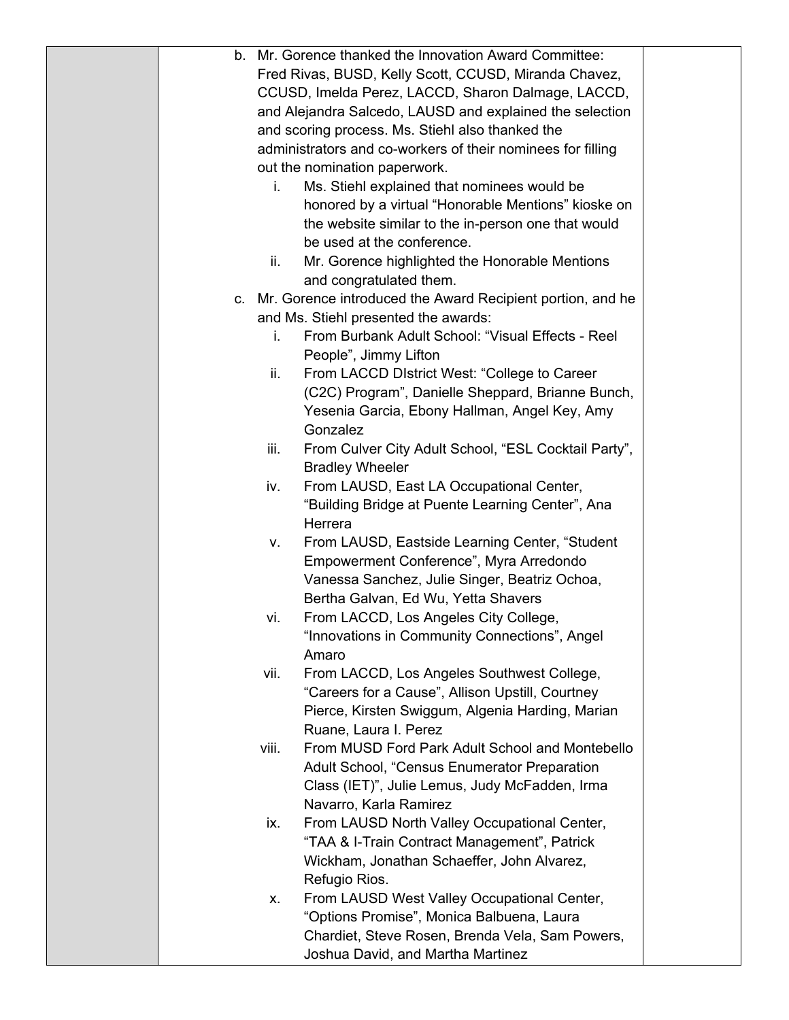| b. |       | Mr. Gorence thanked the Innovation Award Committee:           |  |
|----|-------|---------------------------------------------------------------|--|
|    |       | Fred Rivas, BUSD, Kelly Scott, CCUSD, Miranda Chavez,         |  |
|    |       | CCUSD, Imelda Perez, LACCD, Sharon Dalmage, LACCD,            |  |
|    |       | and Alejandra Salcedo, LAUSD and explained the selection      |  |
|    |       | and scoring process. Ms. Stiehl also thanked the              |  |
|    |       | administrators and co-workers of their nominees for filling   |  |
|    |       | out the nomination paperwork.                                 |  |
|    | i.    | Ms. Stiehl explained that nominees would be                   |  |
|    |       | honored by a virtual "Honorable Mentions" kioske on           |  |
|    |       | the website similar to the in-person one that would           |  |
|    |       | be used at the conference.                                    |  |
|    | ii.   | Mr. Gorence highlighted the Honorable Mentions                |  |
|    |       | and congratulated them.                                       |  |
|    |       | c. Mr. Gorence introduced the Award Recipient portion, and he |  |
|    |       | and Ms. Stiehl presented the awards:                          |  |
|    | i.    | From Burbank Adult School: "Visual Effects - Reel             |  |
|    |       | People", Jimmy Lifton                                         |  |
|    | ii.   | From LACCD District West: "College to Career                  |  |
|    |       | (C2C) Program", Danielle Sheppard, Brianne Bunch,             |  |
|    |       | Yesenia Garcia, Ebony Hallman, Angel Key, Amy                 |  |
|    |       | Gonzalez                                                      |  |
|    | iii.  | From Culver City Adult School, "ESL Cocktail Party",          |  |
|    |       | <b>Bradley Wheeler</b>                                        |  |
|    | iv.   | From LAUSD, East LA Occupational Center,                      |  |
|    |       | "Building Bridge at Puente Learning Center", Ana              |  |
|    |       | Herrera                                                       |  |
|    | v.    | From LAUSD, Eastside Learning Center, "Student                |  |
|    |       | Empowerment Conference", Myra Arredondo                       |  |
|    |       | Vanessa Sanchez, Julie Singer, Beatriz Ochoa,                 |  |
|    |       | Bertha Galvan, Ed Wu, Yetta Shavers                           |  |
|    | vi.   | From LACCD, Los Angeles City College,                         |  |
|    |       | "Innovations in Community Connections", Angel                 |  |
|    |       | Amaro                                                         |  |
|    | vii.  | From LACCD, Los Angeles Southwest College,                    |  |
|    |       | "Careers for a Cause", Allison Upstill, Courtney              |  |
|    |       | Pierce, Kirsten Swiggum, Algenia Harding, Marian              |  |
|    |       | Ruane, Laura I. Perez                                         |  |
|    | viii. | From MUSD Ford Park Adult School and Montebello               |  |
|    |       | Adult School, "Census Enumerator Preparation                  |  |
|    |       | Class (IET)", Julie Lemus, Judy McFadden, Irma                |  |
|    |       | Navarro, Karla Ramirez                                        |  |
|    | ix.   | From LAUSD North Valley Occupational Center,                  |  |
|    |       | "TAA & I-Train Contract Management", Patrick                  |  |
|    |       | Wickham, Jonathan Schaeffer, John Alvarez,                    |  |
|    |       | Refugio Rios.                                                 |  |
|    | Х.    | From LAUSD West Valley Occupational Center,                   |  |
|    |       | "Options Promise", Monica Balbuena, Laura                     |  |
|    |       | Chardiet, Steve Rosen, Brenda Vela, Sam Powers,               |  |
|    |       | Joshua David, and Martha Martinez                             |  |
|    |       |                                                               |  |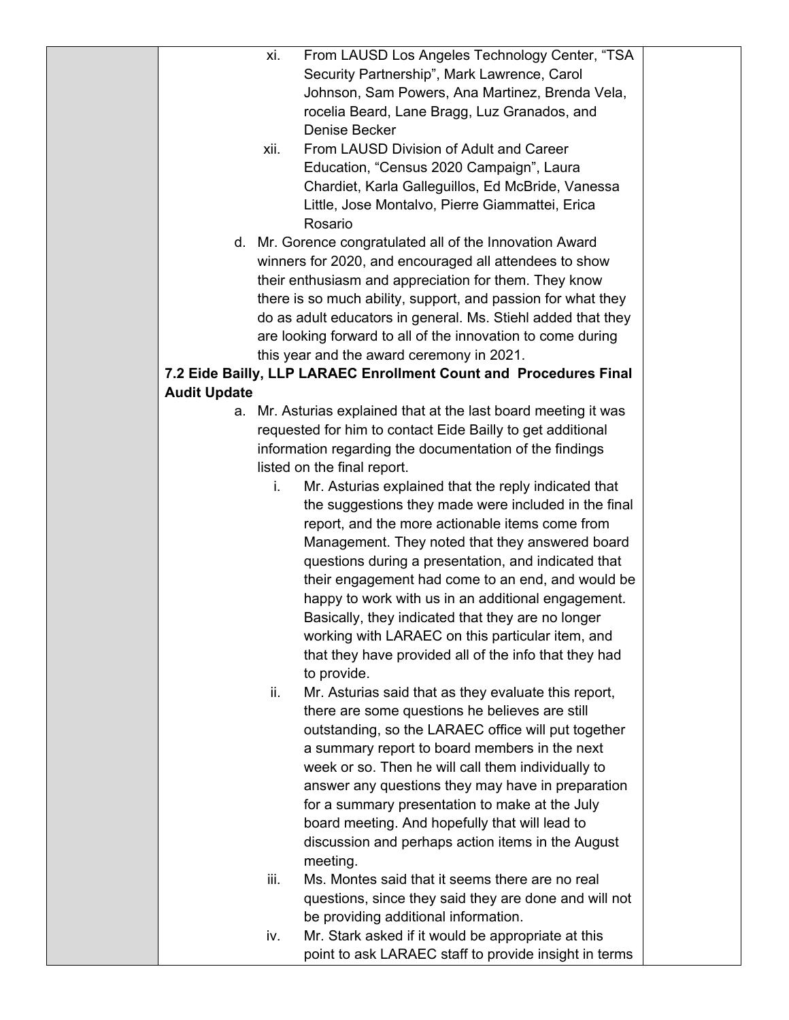|                     | xi.  | From LAUSD Los Angeles Technology Center, "TSA                                                        |  |
|---------------------|------|-------------------------------------------------------------------------------------------------------|--|
|                     |      | Security Partnership", Mark Lawrence, Carol                                                           |  |
|                     |      | Johnson, Sam Powers, Ana Martinez, Brenda Vela,                                                       |  |
|                     |      | rocelia Beard, Lane Bragg, Luz Granados, and                                                          |  |
|                     |      | Denise Becker                                                                                         |  |
|                     | xii. | From LAUSD Division of Adult and Career                                                               |  |
|                     |      | Education, "Census 2020 Campaign", Laura                                                              |  |
|                     |      | Chardiet, Karla Galleguillos, Ed McBride, Vanessa                                                     |  |
|                     |      | Little, Jose Montalvo, Pierre Giammattei, Erica                                                       |  |
|                     |      | Rosario                                                                                               |  |
|                     |      | d. Mr. Gorence congratulated all of the Innovation Award                                              |  |
|                     |      | winners for 2020, and encouraged all attendees to show                                                |  |
|                     |      | their enthusiasm and appreciation for them. They know                                                 |  |
|                     |      | there is so much ability, support, and passion for what they                                          |  |
|                     |      | do as adult educators in general. Ms. Stiehl added that they                                          |  |
|                     |      | are looking forward to all of the innovation to come during                                           |  |
|                     |      | this year and the award ceremony in 2021.                                                             |  |
|                     |      | 7.2 Eide Bailly, LLP LARAEC Enrollment Count and Procedures Final                                     |  |
| <b>Audit Update</b> |      |                                                                                                       |  |
|                     |      | a. Mr. Asturias explained that at the last board meeting it was                                       |  |
|                     |      | requested for him to contact Eide Bailly to get additional                                            |  |
|                     |      | information regarding the documentation of the findings                                               |  |
|                     |      | listed on the final report.                                                                           |  |
|                     | i.   | Mr. Asturias explained that the reply indicated that                                                  |  |
|                     |      | the suggestions they made were included in the final                                                  |  |
|                     |      | report, and the more actionable items come from                                                       |  |
|                     |      | Management. They noted that they answered board                                                       |  |
|                     |      | questions during a presentation, and indicated that                                                   |  |
|                     |      | their engagement had come to an end, and would be                                                     |  |
|                     |      | happy to work with us in an additional engagement.                                                    |  |
|                     |      | Basically, they indicated that they are no longer<br>working with LARAEC on this particular item, and |  |
|                     |      | that they have provided all of the info that they had                                                 |  |
|                     |      | to provide.                                                                                           |  |
|                     | ii.  | Mr. Asturias said that as they evaluate this report,                                                  |  |
|                     |      | there are some questions he believes are still                                                        |  |
|                     |      | outstanding, so the LARAEC office will put together                                                   |  |
|                     |      | a summary report to board members in the next                                                         |  |
|                     |      | week or so. Then he will call them individually to                                                    |  |
|                     |      | answer any questions they may have in preparation                                                     |  |
|                     |      | for a summary presentation to make at the July                                                        |  |
|                     |      | board meeting. And hopefully that will lead to                                                        |  |
|                     |      | discussion and perhaps action items in the August                                                     |  |
|                     |      | meeting.                                                                                              |  |
|                     | iii. | Ms. Montes said that it seems there are no real                                                       |  |
|                     |      | questions, since they said they are done and will not                                                 |  |
|                     |      | be providing additional information.                                                                  |  |
|                     | iv.  | Mr. Stark asked if it would be appropriate at this                                                    |  |
|                     |      | point to ask LARAEC staff to provide insight in terms                                                 |  |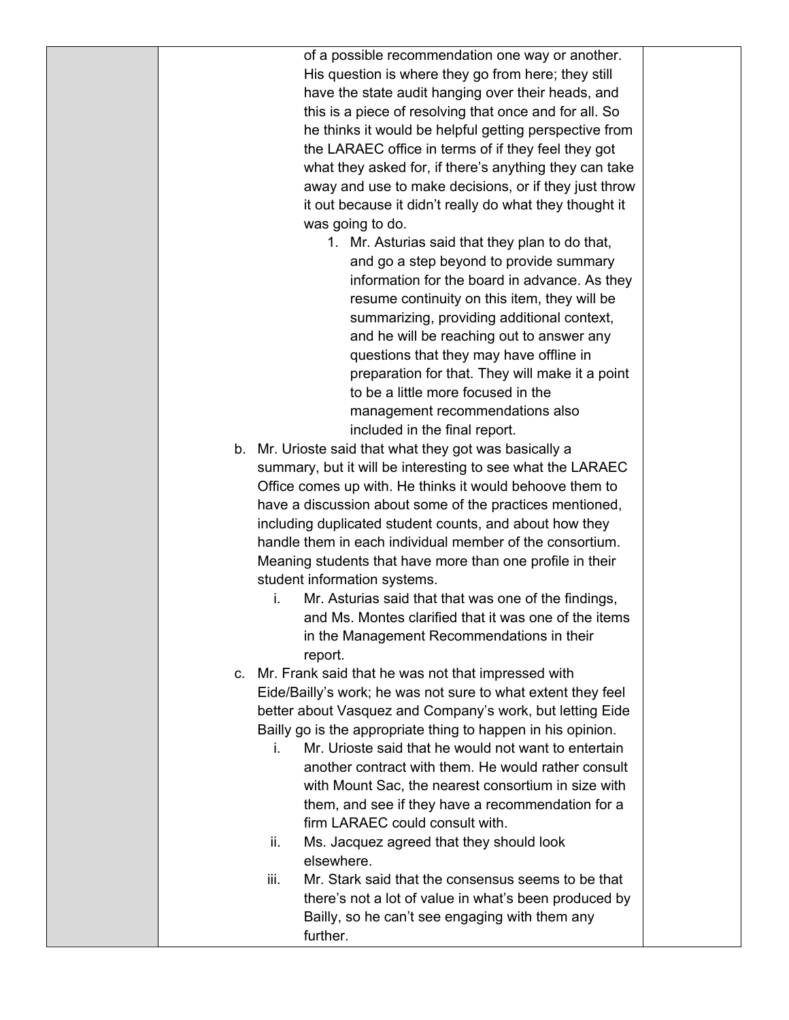of a possible recommendation one way or another. His question is where they go from here; they still have the state audit hanging over their heads, and this is a piece of resolving that once and for all. So he thinks it would be helpful getting perspective from the LARAEC office in terms of if they feel they got what they asked for, if there's anything they can take away and use to make decisions, or if they just throw it out because it didn't really do what they thought it was going to do.

- 1. Mr. Asturias said that they plan to do that, and go a step beyond to provide summary information for the board in advance. As they resume continuity on this item, they will be summarizing, providing additional context, and he will be reaching out to answer any questions that they may have offline in preparation for that. They will make it a point to be a little more focused in the management recommendations also included in the final report.
- b. Mr. Urioste said that what they got was basically a summary, but it will be interesting to see what the LARAEC Office comes up with. He thinks it would behoove them to have a discussion about some of the practices mentioned, including duplicated student counts, and about how they handle them in each individual member of the consortium. Meaning students that have more than one profile in their student information systems.
	- i. Mr. Asturias said that that was one of the findings, and Ms. Montes clarified that it was one of the items in the Management Recommendations in their report.
- c. Mr. Frank said that he was not that impressed with Eide/Bailly's work; he was not sure to what extent they feel better about Vasquez and Company's work, but letting Eide Bailly go is the appropriate thing to happen in his opinion.
	- i. Mr. Urioste said that he would not want to entertain another contract with them. He would rather consult with Mount Sac, the nearest consortium in size with them, and see if they have a recommendation for a firm LARAEC could consult with.
	- ii. Ms. Jacquez agreed that they should look elsewhere.
	- iii. Mr. Stark said that the consensus seems to be that there's not a lot of value in what's been produced by Bailly, so he can't see engaging with them any further.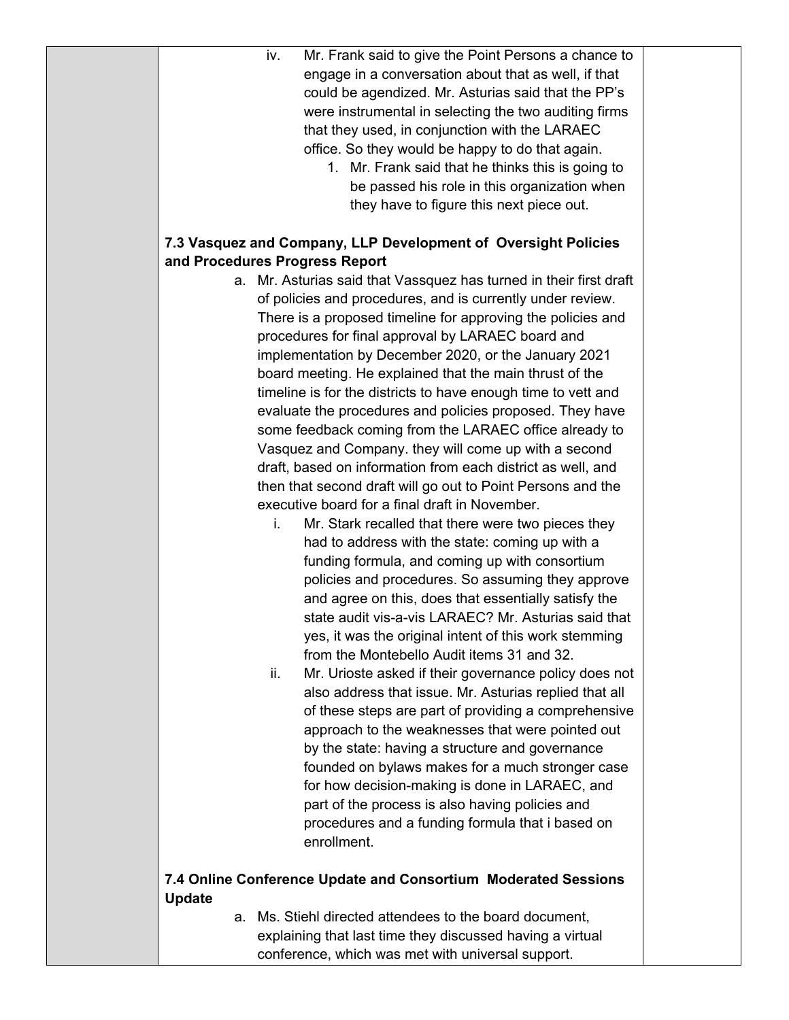| iv.                            | Mr. Frank said to give the Point Persons a chance to               |  |
|--------------------------------|--------------------------------------------------------------------|--|
|                                | engage in a conversation about that as well, if that               |  |
|                                | could be agendized. Mr. Asturias said that the PP's                |  |
|                                | were instrumental in selecting the two auditing firms              |  |
|                                | that they used, in conjunction with the LARAEC                     |  |
|                                | office. So they would be happy to do that again.                   |  |
|                                | 1. Mr. Frank said that he thinks this is going to                  |  |
|                                | be passed his role in this organization when                       |  |
|                                | they have to figure this next piece out.                           |  |
| and Procedures Progress Report | 7.3 Vasquez and Company, LLP Development of Oversight Policies     |  |
|                                | a. Mr. Asturias said that Vassquez has turned in their first draft |  |
|                                | of policies and procedures, and is currently under review.         |  |
|                                |                                                                    |  |
|                                | There is a proposed timeline for approving the policies and        |  |
|                                | procedures for final approval by LARAEC board and                  |  |
|                                | implementation by December 2020, or the January 2021               |  |
|                                | board meeting. He explained that the main thrust of the            |  |
|                                | timeline is for the districts to have enough time to vett and      |  |
|                                | evaluate the procedures and policies proposed. They have           |  |
|                                | some feedback coming from the LARAEC office already to             |  |
|                                | Vasquez and Company. they will come up with a second               |  |
|                                | draft, based on information from each district as well, and        |  |
|                                | then that second draft will go out to Point Persons and the        |  |
|                                | executive board for a final draft in November.                     |  |
| i.                             | Mr. Stark recalled that there were two pieces they                 |  |
|                                | had to address with the state: coming up with a                    |  |
|                                | funding formula, and coming up with consortium                     |  |
|                                | policies and procedures. So assuming they approve                  |  |
|                                | and agree on this, does that essentially satisfy the               |  |
|                                | state audit vis-a-vis LARAEC? Mr. Asturias said that               |  |
|                                | yes, it was the original intent of this work stemming              |  |
|                                | from the Montebello Audit items 31 and 32.                         |  |
| ii.                            | Mr. Urioste asked if their governance policy does not              |  |
|                                | also address that issue. Mr. Asturias replied that all             |  |
|                                | of these steps are part of providing a comprehensive               |  |
|                                | approach to the weaknesses that were pointed out                   |  |
|                                | by the state: having a structure and governance                    |  |
|                                | founded on bylaws makes for a much stronger case                   |  |
|                                |                                                                    |  |
|                                | for how decision-making is done in LARAEC, and                     |  |
|                                | part of the process is also having policies and                    |  |
|                                | procedures and a funding formula that i based on                   |  |
|                                | enrollment.                                                        |  |
|                                | 7.4 Online Conference Update and Consortium Moderated Sessions     |  |
| <b>Update</b>                  |                                                                    |  |
|                                | a. Ms. Stiehl directed attendees to the board document,            |  |

explaining that last time they discussed having a virtual conference, which was met with universal support.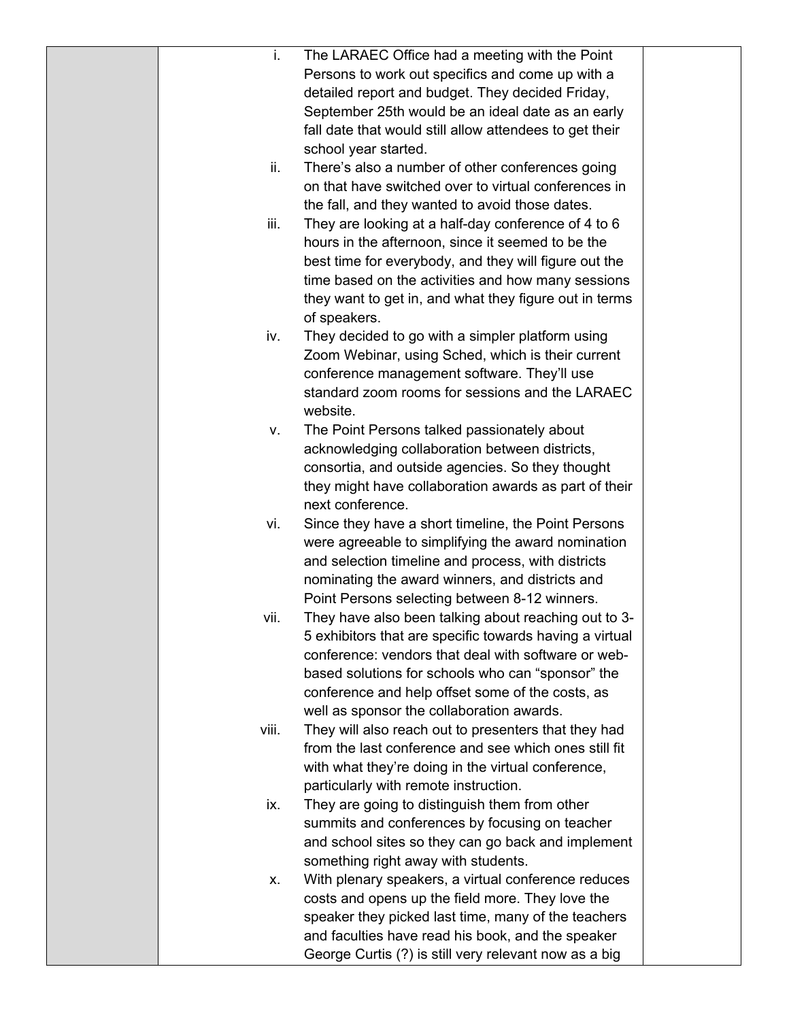| i.    | The LARAEC Office had a meeting with the Point                                                                |  |
|-------|---------------------------------------------------------------------------------------------------------------|--|
|       | Persons to work out specifics and come up with a                                                              |  |
|       | detailed report and budget. They decided Friday,                                                              |  |
|       | September 25th would be an ideal date as an early                                                             |  |
|       | fall date that would still allow attendees to get their                                                       |  |
|       | school year started.                                                                                          |  |
| ii.   | There's also a number of other conferences going                                                              |  |
|       | on that have switched over to virtual conferences in                                                          |  |
|       | the fall, and they wanted to avoid those dates.                                                               |  |
| iii.  | They are looking at a half-day conference of 4 to 6                                                           |  |
|       | hours in the afternoon, since it seemed to be the                                                             |  |
|       | best time for everybody, and they will figure out the                                                         |  |
|       | time based on the activities and how many sessions                                                            |  |
|       | they want to get in, and what they figure out in terms                                                        |  |
|       | of speakers.                                                                                                  |  |
| iv.   | They decided to go with a simpler platform using                                                              |  |
|       | Zoom Webinar, using Sched, which is their current                                                             |  |
|       | conference management software. They'll use                                                                   |  |
|       | standard zoom rooms for sessions and the LARAEC                                                               |  |
|       | website.                                                                                                      |  |
| V.    | The Point Persons talked passionately about                                                                   |  |
|       | acknowledging collaboration between districts,                                                                |  |
|       | consortia, and outside agencies. So they thought                                                              |  |
|       | they might have collaboration awards as part of their                                                         |  |
|       | next conference.                                                                                              |  |
| vi.   | Since they have a short timeline, the Point Persons                                                           |  |
|       | were agreeable to simplifying the award nomination                                                            |  |
|       | and selection timeline and process, with districts                                                            |  |
|       | nominating the award winners, and districts and                                                               |  |
|       | Point Persons selecting between 8-12 winners.                                                                 |  |
| vii.  | They have also been talking about reaching out to 3-                                                          |  |
|       | 5 exhibitors that are specific towards having a virtual                                                       |  |
|       | conference: vendors that deal with software or web-                                                           |  |
|       | based solutions for schools who can "sponsor" the                                                             |  |
|       | conference and help offset some of the costs, as                                                              |  |
| viii. | well as sponsor the collaboration awards.                                                                     |  |
|       | They will also reach out to presenters that they had<br>from the last conference and see which ones still fit |  |
|       | with what they're doing in the virtual conference,                                                            |  |
|       | particularly with remote instruction.                                                                         |  |
| ix.   | They are going to distinguish them from other                                                                 |  |
|       | summits and conferences by focusing on teacher                                                                |  |
|       | and school sites so they can go back and implement                                                            |  |
|       | something right away with students.                                                                           |  |
| Х.    | With plenary speakers, a virtual conference reduces                                                           |  |
|       | costs and opens up the field more. They love the                                                              |  |
|       | speaker they picked last time, many of the teachers                                                           |  |
|       | and faculties have read his book, and the speaker                                                             |  |
|       | George Curtis (?) is still very relevant now as a big                                                         |  |
|       |                                                                                                               |  |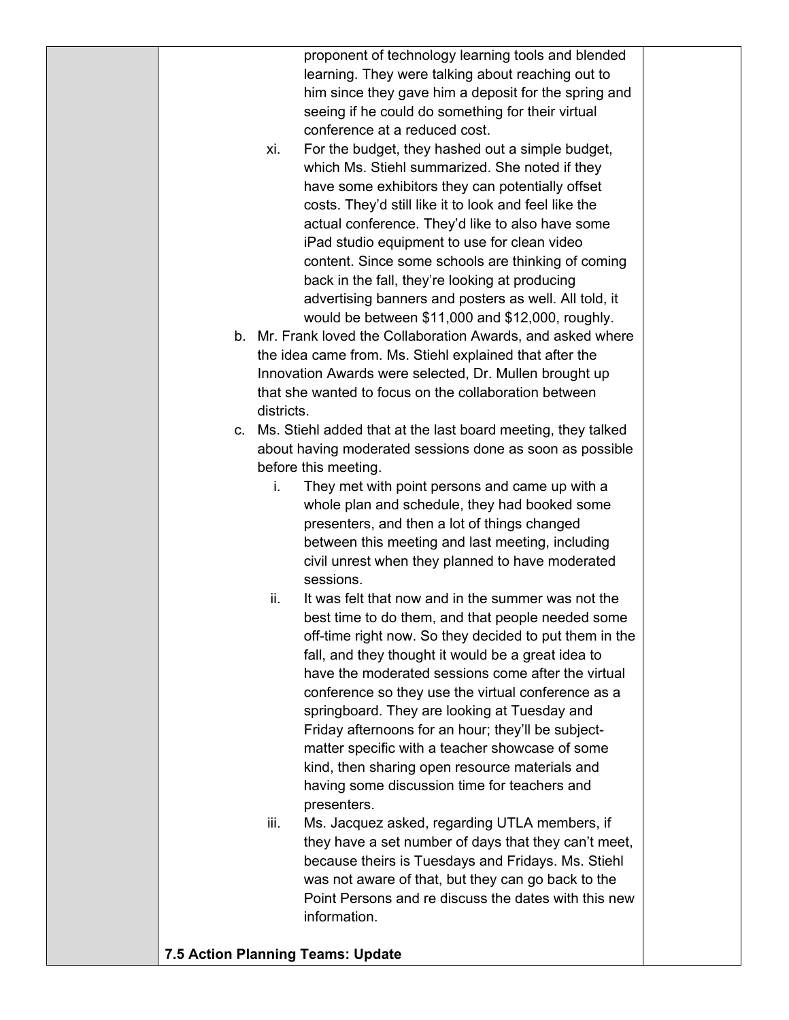proponent of technology learning tools and blended learning. They were talking about reaching out to him since they gave him a deposit for the spring and seeing if he could do something for their virtual conference at a reduced cost.

- xi. For the budget, they hashed out a simple budget, which Ms. Stiehl summarized. She noted if they have some exhibitors they can potentially offset costs. They'd still like it to look and feel like the actual conference. They'd like to also have some iPad studio equipment to use for clean video content. Since some schools are thinking of coming back in the fall, they're looking at producing advertising banners and posters as well. All told, it would be between \$11,000 and \$12,000, roughly.
- b. Mr. Frank loved the Collaboration Awards, and asked where the idea came from. Ms. Stiehl explained that after the Innovation Awards were selected, Dr. Mullen brought up that she wanted to focus on the collaboration between districts.
- c. Ms. Stiehl added that at the last board meeting, they talked about having moderated sessions done as soon as possible before this meeting.
	- i. They met with point persons and came up with a whole plan and schedule, they had booked some presenters, and then a lot of things changed between this meeting and last meeting, including civil unrest when they planned to have moderated sessions.
	- ii. It was felt that now and in the summer was not the best time to do them, and that people needed some off-time right now. So they decided to put them in the fall, and they thought it would be a great idea to have the moderated sessions come after the virtual conference so they use the virtual conference as a springboard. They are looking at Tuesday and Friday afternoons for an hour; they'll be subjectmatter specific with a teacher showcase of some kind, then sharing open resource materials and having some discussion time for teachers and presenters.
	- iii. Ms. Jacquez asked, regarding UTLA members, if they have a set number of days that they can't meet, because theirs is Tuesdays and Fridays. Ms. Stiehl was not aware of that, but they can go back to the Point Persons and re discuss the dates with this new information.

## **7.5 Action Planning Teams: Update**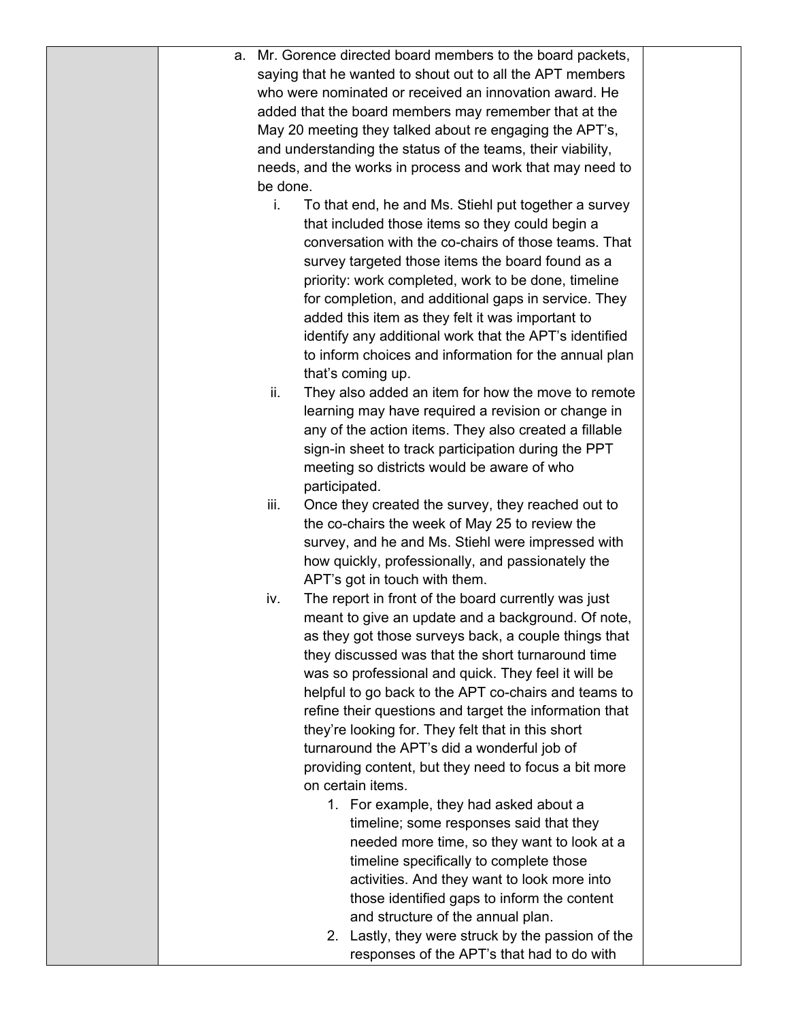|  |          | a. Mr. Gorence directed board members to the board packets, |  |
|--|----------|-------------------------------------------------------------|--|
|  |          | saying that he wanted to shout out to all the APT members   |  |
|  |          | who were nominated or received an innovation award. He      |  |
|  |          | added that the board members may remember that at the       |  |
|  |          | May 20 meeting they talked about re engaging the APT's,     |  |
|  |          | and understanding the status of the teams, their viability, |  |
|  |          | needs, and the works in process and work that may need to   |  |
|  | be done. |                                                             |  |
|  | i.       | To that end, he and Ms. Stiehl put together a survey        |  |
|  |          | that included those items so they could begin a             |  |
|  |          | conversation with the co-chairs of those teams. That        |  |
|  |          | survey targeted those items the board found as a            |  |
|  |          | priority: work completed, work to be done, timeline         |  |
|  |          | for completion, and additional gaps in service. They        |  |
|  |          | added this item as they felt it was important to            |  |
|  |          | identify any additional work that the APT's identified      |  |
|  |          | to inform choices and information for the annual plan       |  |
|  |          | that's coming up.                                           |  |
|  | ii.      | They also added an item for how the move to remote          |  |
|  |          | learning may have required a revision or change in          |  |
|  |          | any of the action items. They also created a fillable       |  |
|  |          | sign-in sheet to track participation during the PPT         |  |
|  |          | meeting so districts would be aware of who                  |  |
|  |          | participated.                                               |  |
|  | iii.     | Once they created the survey, they reached out to           |  |
|  |          | the co-chairs the week of May 25 to review the              |  |
|  |          | survey, and he and Ms. Stiehl were impressed with           |  |
|  |          | how quickly, professionally, and passionately the           |  |
|  |          | APT's got in touch with them.                               |  |
|  | iv.      | The report in front of the board currently was just         |  |
|  |          | meant to give an update and a background. Of note,          |  |
|  |          | as they got those surveys back, a couple things that        |  |
|  |          | they discussed was that the short turnaround time           |  |
|  |          |                                                             |  |
|  |          | was so professional and quick. They feel it will be         |  |
|  |          | helpful to go back to the APT co-chairs and teams to        |  |
|  |          | refine their questions and target the information that      |  |
|  |          | they're looking for. They felt that in this short           |  |
|  |          | turnaround the APT's did a wonderful job of                 |  |
|  |          | providing content, but they need to focus a bit more        |  |
|  |          | on certain items.                                           |  |
|  |          | 1. For example, they had asked about a                      |  |
|  |          | timeline; some responses said that they                     |  |
|  |          | needed more time, so they want to look at a                 |  |
|  |          | timeline specifically to complete those                     |  |
|  |          | activities. And they want to look more into                 |  |
|  |          | those identified gaps to inform the content                 |  |
|  |          | and structure of the annual plan.                           |  |
|  |          | 2. Lastly, they were struck by the passion of the           |  |
|  |          | responses of the APT's that had to do with                  |  |
|  |          |                                                             |  |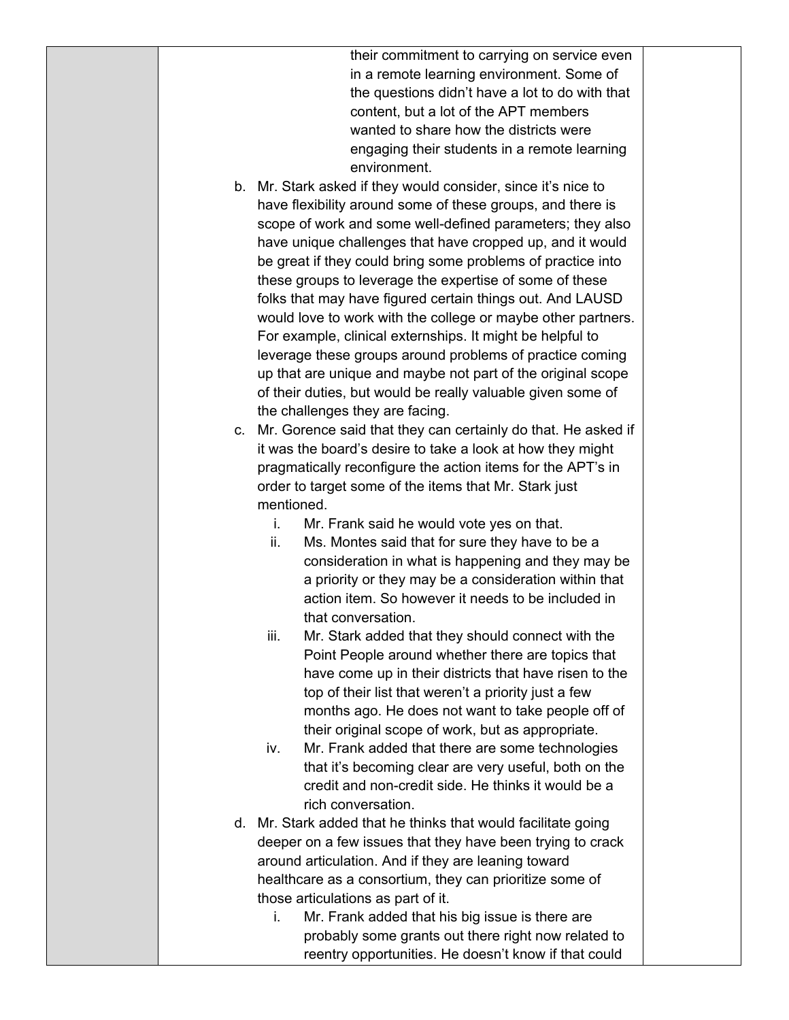their commitment to carrying on service even in a remote learning environment. Some of the questions didn't have a lot to do with that content, but a lot of the APT members wanted to share how the districts were engaging their students in a remote learning environment.

- b. Mr. Stark asked if they would consider, since it's nice to have flexibility around some of these groups, and there is scope of work and some well-defined parameters; they also have unique challenges that have cropped up, and it would be great if they could bring some problems of practice into these groups to leverage the expertise of some of these folks that may have figured certain things out. And LAUSD would love to work with the college or maybe other partners. For example, clinical externships. It might be helpful to leverage these groups around problems of practice coming up that are unique and maybe not part of the original scope of their duties, but would be really valuable given some of the challenges they are facing.
- c. Mr. Gorence said that they can certainly do that. He asked if it was the board's desire to take a look at how they might pragmatically reconfigure the action items for the APT's in order to target some of the items that Mr. Stark just mentioned.
	- i. Mr. Frank said he would vote yes on that.
	- ii. Ms. Montes said that for sure they have to be a consideration in what is happening and they may be a priority or they may be a consideration within that action item. So however it needs to be included in that conversation.
	- iii. Mr. Stark added that they should connect with the Point People around whether there are topics that have come up in their districts that have risen to the top of their list that weren't a priority just a few months ago. He does not want to take people off of their original scope of work, but as appropriate.
	- iv. Mr. Frank added that there are some technologies that it's becoming clear are very useful, both on the credit and non-credit side. He thinks it would be a rich conversation.
- d. Mr. Stark added that he thinks that would facilitate going deeper on a few issues that they have been trying to crack around articulation. And if they are leaning toward healthcare as a consortium, they can prioritize some of those articulations as part of it.
	- i. Mr. Frank added that his big issue is there are probably some grants out there right now related to reentry opportunities. He doesn't know if that could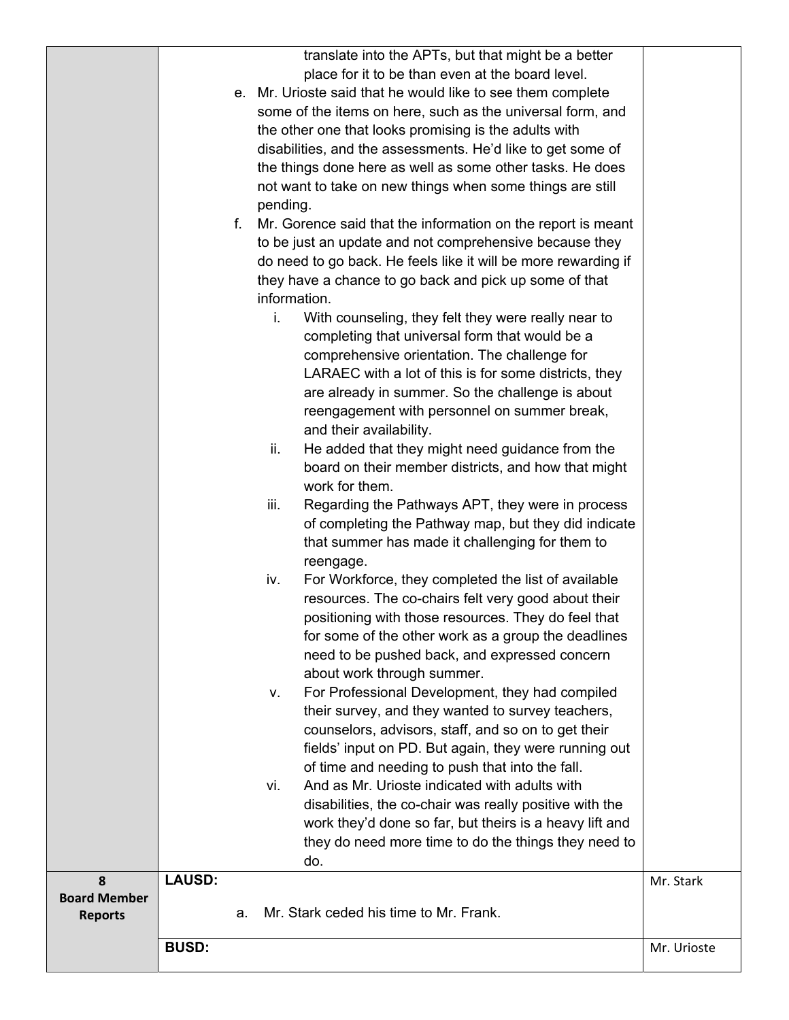| translate into the APTs, but that might be a better  |  |
|------------------------------------------------------|--|
| place for it to be than even at the board level.     |  |
| Iringto said that he would like to see them complete |  |

| e. Mr. Urioste said that he would like to see them complete |
|-------------------------------------------------------------|
| some of the items on here, such as the universal form, and  |
| the other one that looks promising is the adults with       |
| disabilities, and the assessments. He'd like to get some of |
| the things done here as well as some other tasks. He does   |
| not want to take on new things when some things are still   |
| pending.                                                    |

- f. Mr. Gorence said that the information on the report is meant to be just an update and not comprehensive because they do need to go back. He feels like it will be more rewarding if they have a chance to go back and pick up some of that information.
	- i. With counseling, they felt they were really near to completing that universal form that would be a comprehensive orientation. The challenge for LARAEC with a lot of this is for some districts, they are already in summer. So the challenge is about reengagement with personnel on summer break, and their availability.
	- ii. He added that they might need guidance from the board on their member districts, and how that might work for them.
	- iii. Regarding the Pathways APT, they were in process of completing the Pathway map, but they did indicate that summer has made it challenging for them to reengage.
	- iv. For Workforce, they completed the list of available resources. The co-chairs felt very good about their positioning with those resources. They do feel that for some of the other work as a group the deadlines need to be pushed back, and expressed concern about work through summer.
	- v. For Professional Development, they had compiled their survey, and they wanted to survey teachers, counselors, advisors, staff, and so on to get their fields' input on PD. But again, they were running out of time and needing to push that into the fall.
	- vi. And as Mr. Urioste indicated with adults with disabilities, the co-chair was really positive with the work they'd done so far, but theirs is a heavy lift and they do need more time to do the things they need to do.

|                     |               |    | ao.                                    |             |
|---------------------|---------------|----|----------------------------------------|-------------|
| <b>Board Member</b> | <b>LAUSD:</b> |    |                                        | Mr. Stark   |
| <b>Reports</b>      |               | a. | Mr. Stark ceded his time to Mr. Frank. |             |
|                     | <b>BUSD:</b>  |    |                                        | Mr. Urioste |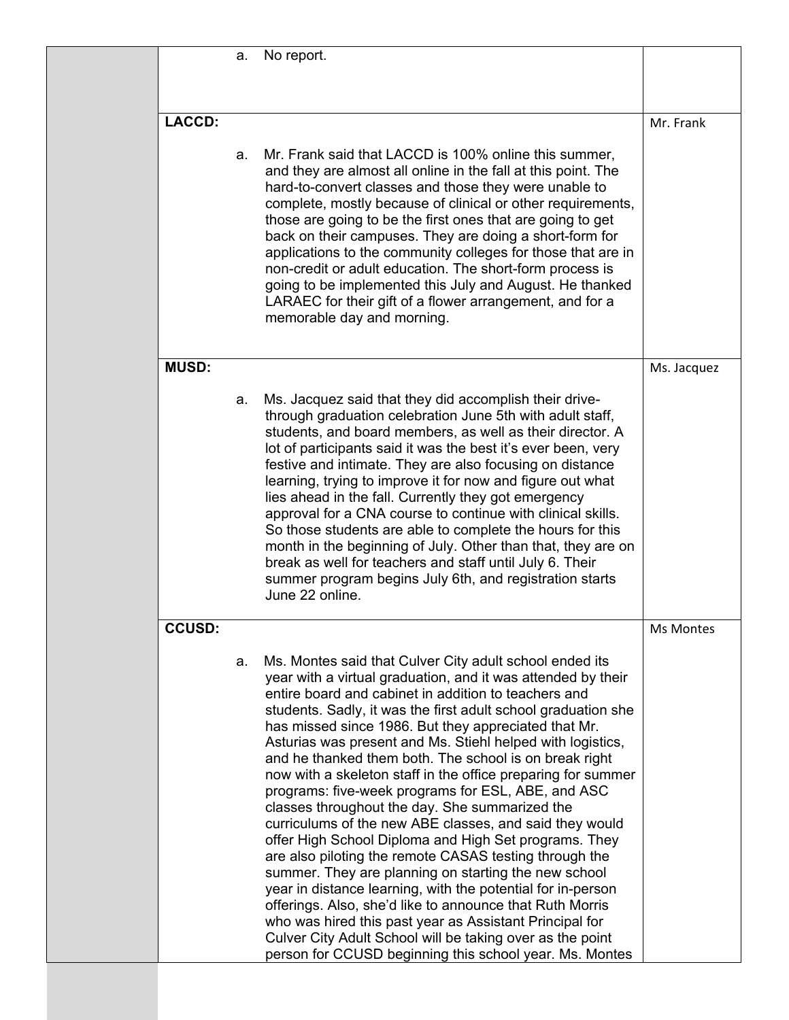|               | a. | No report.                                                                                                                                                                                                                                                                                                                                                                                                                                                                                                                                                                                                                                                                                                                                                                                                                                                                                                                                                                                                                                                                                                                                                   |             |
|---------------|----|--------------------------------------------------------------------------------------------------------------------------------------------------------------------------------------------------------------------------------------------------------------------------------------------------------------------------------------------------------------------------------------------------------------------------------------------------------------------------------------------------------------------------------------------------------------------------------------------------------------------------------------------------------------------------------------------------------------------------------------------------------------------------------------------------------------------------------------------------------------------------------------------------------------------------------------------------------------------------------------------------------------------------------------------------------------------------------------------------------------------------------------------------------------|-------------|
|               |    |                                                                                                                                                                                                                                                                                                                                                                                                                                                                                                                                                                                                                                                                                                                                                                                                                                                                                                                                                                                                                                                                                                                                                              |             |
| <b>LACCD:</b> |    |                                                                                                                                                                                                                                                                                                                                                                                                                                                                                                                                                                                                                                                                                                                                                                                                                                                                                                                                                                                                                                                                                                                                                              | Mr. Frank   |
|               | a. | Mr. Frank said that LACCD is 100% online this summer,<br>and they are almost all online in the fall at this point. The<br>hard-to-convert classes and those they were unable to<br>complete, mostly because of clinical or other requirements,<br>those are going to be the first ones that are going to get<br>back on their campuses. They are doing a short-form for<br>applications to the community colleges for those that are in<br>non-credit or adult education. The short-form process is<br>going to be implemented this July and August. He thanked<br>LARAEC for their gift of a flower arrangement, and for a<br>memorable day and morning.                                                                                                                                                                                                                                                                                                                                                                                                                                                                                                    |             |
| <b>MUSD:</b>  |    |                                                                                                                                                                                                                                                                                                                                                                                                                                                                                                                                                                                                                                                                                                                                                                                                                                                                                                                                                                                                                                                                                                                                                              | Ms. Jacquez |
|               | a. | Ms. Jacquez said that they did accomplish their drive-<br>through graduation celebration June 5th with adult staff,<br>students, and board members, as well as their director. A<br>lot of participants said it was the best it's ever been, very<br>festive and intimate. They are also focusing on distance<br>learning, trying to improve it for now and figure out what<br>lies ahead in the fall. Currently they got emergency<br>approval for a CNA course to continue with clinical skills.<br>So those students are able to complete the hours for this<br>month in the beginning of July. Other than that, they are on<br>break as well for teachers and staff until July 6. Their<br>summer program begins July 6th, and registration starts<br>June 22 online.                                                                                                                                                                                                                                                                                                                                                                                    |             |
| <b>CCUSD:</b> |    |                                                                                                                                                                                                                                                                                                                                                                                                                                                                                                                                                                                                                                                                                                                                                                                                                                                                                                                                                                                                                                                                                                                                                              | Ms Montes   |
|               | a. | Ms. Montes said that Culver City adult school ended its<br>year with a virtual graduation, and it was attended by their<br>entire board and cabinet in addition to teachers and<br>students. Sadly, it was the first adult school graduation she<br>has missed since 1986. But they appreciated that Mr.<br>Asturias was present and Ms. Stiehl helped with logistics,<br>and he thanked them both. The school is on break right<br>now with a skeleton staff in the office preparing for summer<br>programs: five-week programs for ESL, ABE, and ASC<br>classes throughout the day. She summarized the<br>curriculums of the new ABE classes, and said they would<br>offer High School Diploma and High Set programs. They<br>are also piloting the remote CASAS testing through the<br>summer. They are planning on starting the new school<br>year in distance learning, with the potential for in-person<br>offerings. Also, she'd like to announce that Ruth Morris<br>who was hired this past year as Assistant Principal for<br>Culver City Adult School will be taking over as the point<br>person for CCUSD beginning this school year. Ms. Montes |             |